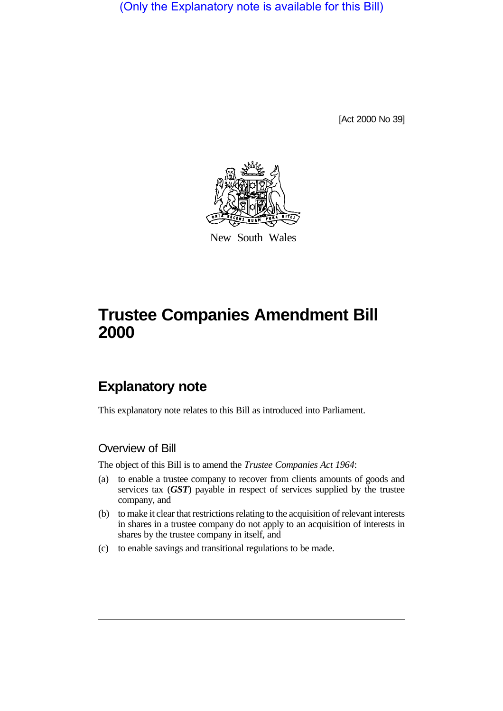(Only the Explanatory note is available for this Bill)

[Act 2000 No 39]



New South Wales

## **Trustee Companies Amendment Bill 2000**

## **Explanatory note**

This explanatory note relates to this Bill as introduced into Parliament.

## Overview of Bill

The object of this Bill is to amend the *Trustee Companies Act 1964*:

- (a) to enable a trustee company to recover from clients amounts of goods and services tax (*GST*) payable in respect of services supplied by the trustee company, and
- (b) to make it clear that restrictions relating to the acquisition of relevant interests in shares in a trustee company do not apply to an acquisition of interests in shares by the trustee company in itself, and
- (c) to enable savings and transitional regulations to be made.